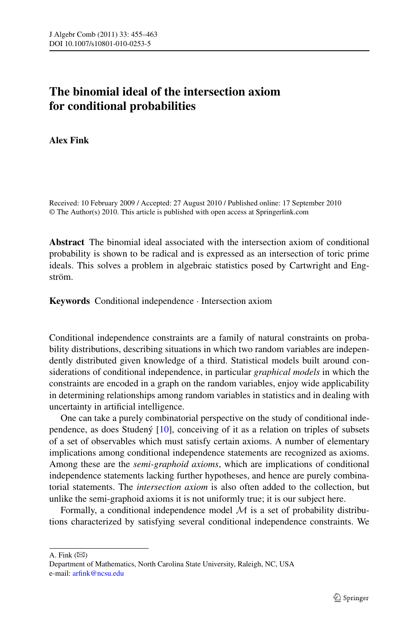## **The binomial ideal of the intersection axiom for conditional probabilities**

## **Alex Fink**

Received: 10 February 2009 / Accepted: 27 August 2010 / Published online: 17 September 2010 © The Author(s) 2010. This article is published with open access at Springerlink.com

**Abstract** The binomial ideal associated with the intersection axiom of conditional probability is shown to be radical and is expressed as an intersection of toric prime ideals. This solves a problem in algebraic statistics posed by Cartwright and Engström.

**Keywords** Conditional independence · Intersection axiom

Conditional independence constraints are a family of natural constraints on probability distributions, describing situations in which two random variables are independently distributed given knowledge of a third. Statistical models built around considerations of conditional independence, in particular *graphical models* in which the constraints are encoded in a graph on the random variables, enjoy wide applicability in determining relationships among random variables in statistics and in dealing with uncertainty in artificial intelligence.

One can take a purely combinatorial perspective on the study of conditional independence, as does Studený [[10\]](#page-8-0), conceiving of it as a relation on triples of subsets of a set of observables which must satisfy certain axioms. A number of elementary implications among conditional independence statements are recognized as axioms. Among these are the *semi-graphoid axioms*, which are implications of conditional independence statements lacking further hypotheses, and hence are purely combinatorial statements. The *intersection axiom* is also often added to the collection, but unlike the semi-graphoid axioms it is not uniformly true; it is our subject here.

Formally, a conditional independence model  $M$  is a set of probability distributions characterized by satisfying several conditional independence constraints. We

A. Fink  $(\boxtimes)$ 

Department of Mathematics, North Carolina State University, Raleigh, NC, USA e-mail: [arfink@ncsu.edu](mailto:arfink@ncsu.edu)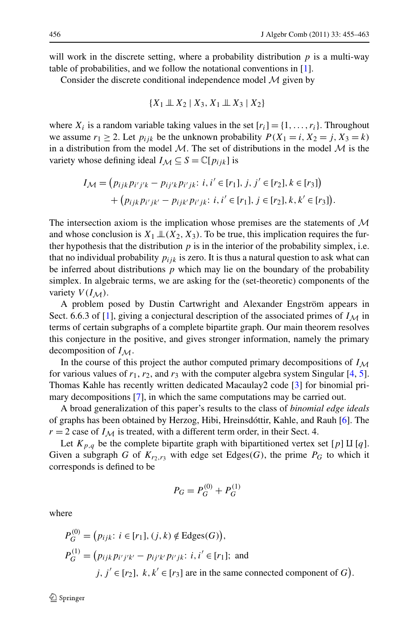will work in the discrete setting, where a probability distribution *p* is a multi-way table of probabilities, and we follow the notational conventions in [\[1](#page-7-0)].

Consider the discrete conditional independence model  $M$  given by

$$
\{X_1 \perp \!\!\! \perp X_2 \mid X_3, X_1 \perp \!\!\! \perp X_3 \mid X_2\}
$$

where  $X_i$  is a random variable taking values in the set  $[r_i] = \{1, \ldots, r_i\}$ . Throughout we assume  $r_1 \geq 2$ . Let  $p_{ijk}$  be the unknown probability  $P(X_1 = i, X_2 = j, X_3 = k)$ in a distribution from the model  $\mathcal{M}$ . The set of distributions in the model  $\mathcal{M}$  is the variety whose defining ideal  $I_M \subseteq S = \mathbb{C}[p_{ijk}]$  is

$$
I_{\mathcal{M}} = (p_{ijk}p_{i'j'k} - p_{ij'k}p_{i'jk}; i, i' \in [r_1], j, j' \in [r_2], k \in [r_3])
$$
  
+ 
$$
(p_{ijk}p_{i'jk'} - p_{ijk'}p_{i'jk}; i, i' \in [r_1], j \in [r_2], k, k' \in [r_3]).
$$

The intersection axiom is the implication whose premises are the statements of  $\mathcal M$ and whose conclusion is  $X_1 \perp \!\!\!\perp (X_2, X_3)$ . To be true, this implication requires the further hypothesis that the distribution  $p$  is in the interior of the probability simplex, i.e. that no individual probability  $p_{ijk}$  is zero. It is thus a natural question to ask what can be inferred about distributions  $p$  which may lie on the boundary of the probability simplex. In algebraic terms, we are asking for the (set-theoretic) components of the variety  $V(I_M)$ .

A problem posed by Dustin Cartwright and Alexander Engström appears in Sect. 6.6.3 of [[1\]](#page-7-0), giving a conjectural description of the associated primes of  $I_M$  in terms of certain subgraphs of a complete bipartite graph. Our main theorem resolves this conjecture in the positive, and gives stronger information, namely the primary decomposition of  $I_M$ .

In the course of this project the author computed primary decompositions of  $I_M$ for various values of  $r_1$ ,  $r_2$ , and  $r_3$  with the computer algebra system Singular [[4,](#page-7-1) [5\]](#page-8-1). Thomas Kahle has recently written dedicated Macaulay2 code [[3\]](#page-7-2) for binomial primary decompositions [\[7](#page-8-2)], in which the same computations may be carried out.

A broad generalization of this paper's results to the class of *binomial edge ideals* of graphs has been obtained by Herzog, Hibi, Hreinsdóttir, Kahle, and Rauh [[6\]](#page-8-3). The  $r = 2$  case of  $I_M$  is treated, with a different term order, in their Sect. 4.

Let  $K_{p,q}$  be the complete bipartite graph with bipartitioned vertex set [p]  $\text{II}$  [q]. Given a subgraph *G* of  $K_{r_2,r_3}$  with edge set Edges(*G*), the prime  $P_G$  to which it corresponds is defined to be

$$
P_G = P_G^{(0)} + P_G^{(1)}
$$

where

$$
P_G^{(0)} = (p_{ijk}: i \in [r_1], (j, k) \notin \text{Edges}(G)),
$$
  
\n
$$
P_G^{(1)} = (p_{ijk}p_{i'j'k'} - p_{ij'k'}p_{i'jk}: i, i' \in [r_1]; \text{ and}
$$
  
\n
$$
j, j' \in [r_2], k, k' \in [r_3] \text{ are in the same connected component of } G).
$$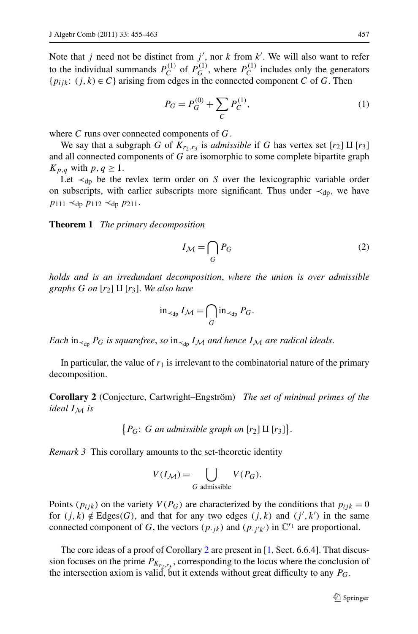<span id="page-2-1"></span>Note that *j* need not be distinct from  $j'$ , nor  $k$  from  $k'$ . We will also want to refer to the individual summands  $P_C^{(1)}$  of  $P_G^{(1)}$ , where  $P_C^{(1)}$  includes only the generators  ${p_{ijk}: (j,k) \in C}$  arising from edges in the connected component *C* of *G*. Then

$$
P_G = P_G^{(0)} + \sum_C P_C^{(1)},\tag{1}
$$

<span id="page-2-2"></span>where *C* runs over connected components of *G*.

<span id="page-2-4"></span>We say that a subgraph *G* of  $K_{r_2,r_3}$  is *admissible* if *G* has vertex set  $[r_2] \amalg [r_3]$ and all connected components of *G* are isomorphic to some complete bipartite graph  $K_{p,q}$  with  $p,q \geq 1$ .

Let  $\prec_{dp}$  be the revlex term order on *S* over the lexicographic variable order on subscripts, with earlier subscripts more significant. Thus under  $\prec_{\text{db}}$ , we have *p*<sup>111</sup> ≺dp *p*<sup>112</sup> ≺dp *p*211.

**Theorem 1** *The primary decomposition*

$$
I_{\mathcal{M}} = \bigcap_{G} P_G \tag{2}
$$

*holds and is an irredundant decomposition*, *where the union is over admissible graphs*  $G$  *on*  $[r_2]$   $\coprod$   $[r_3]$ . We also have

<span id="page-2-0"></span>
$$
\operatorname{in}_{\prec_{dp}} I_{\mathcal{M}} = \bigcap_{G} \operatorname{in}_{\prec_{dp}} P_G.
$$

*Each* in<sub>≺dp</sub>  $P_G$  *is squarefree, so* in<sub>≺dp</sub>  $I_M$  *and hence*  $I_M$  *are radical ideals.* 

<span id="page-2-3"></span>In particular, the value of  $r_1$  is irrelevant to the combinatorial nature of the primary decomposition.

**Corollary 2** (Conjecture, Cartwright–Engström) *The set of minimal primes of the ideal*  $I_M$  *is* 

 $\{P_G: G \text{ an admissible graph on } [r_2] \amalg [r_3]\}.$ 

*Remark 3* This corollary amounts to the set-theoretic identity

$$
V(I_{\mathcal{M}}) = \bigcup_{G \text{ admissible}} V(P_G).
$$

Points ( $p_{ijk}$ ) on the variety  $V(P_G)$  are characterized by the conditions that  $p_{ijk} = 0$ for  $(j, k) \notin Edges(G)$ , and that for any two edges  $(j, k)$  and  $(j', k')$  in the same connected component of *G*, the vectors  $(p_{\cdot jk})$  and  $(p_{\cdot j'k'})$  in  $\mathbb{C}^{r_1}$  are proportional.

The core ideas of a proof of Corollary [2](#page-2-0) are present in [[1,](#page-7-0) Sect. 6.6.4]. That discussion focuses on the prime  $P_{K_{r_2,r_2}}$ , corresponding to the locus where the conclusion of the intersection axiom is valid, but it extends without great difficulty to any *PG*.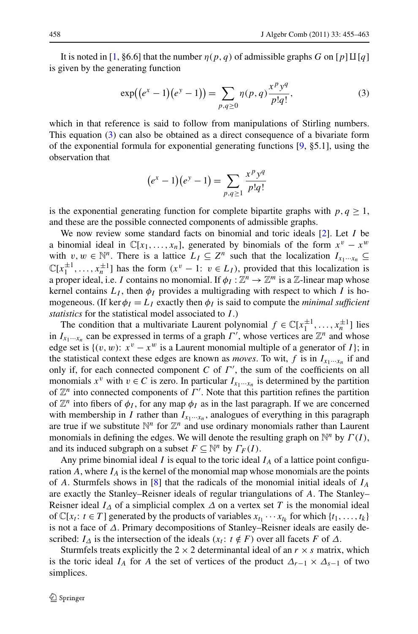<span id="page-3-0"></span>It is noted in [\[1](#page-7-0), §6.6] that the number  $\eta(p,q)$  of admissible graphs *G* on [*p*][*I*[*q*]] is given by the generating function

$$
\exp((e^x - 1)(e^y - 1)) = \sum_{p,q \ge 0} \eta(p,q) \frac{x^p y^q}{p!q!},\tag{3}
$$

which in that reference is said to follow from manipulations of Stirling numbers. This equation ([3\)](#page-3-0) can also be obtained as a direct consequence of a bivariate form of the exponential formula for exponential generating functions [[9,](#page-8-4) §5.1], using the observation that

$$
(e^x - 1)(e^y - 1) = \sum_{p,q \ge 1} \frac{x^p y^q}{p!q!}
$$

is the exponential generating function for complete bipartite graphs with  $p, q \geq 1$ , and these are the possible connected components of admissible graphs.

We now review some standard facts on binomial and toric ideals [[2\]](#page-7-3). Let *I* be a binomial ideal in  $\mathbb{C}[x_1,\ldots,x_n]$ , generated by binomials of the form  $x^v - x^w$ with  $v, w \in \mathbb{N}^n$ . There is a lattice  $L_I \subseteq \mathbb{Z}^n$  such that the localization  $I_{x_1 \cdots x_n} \subseteq$  $\mathbb{C}[x_1^{\pm 1}, \ldots, x_n^{\pm 1}]$  has the form  $(x^{\nu} - 1; \nu \in L_I)$ , provided that this localization is a proper ideal, i.e. *I* contains no monomial. If  $\phi_I : \mathbb{Z}^n \to \mathbb{Z}^m$  is a  $\mathbb{Z}$ -linear map whose kernel contains  $L_I$ , then  $\phi_I$  provides a multigrading with respect to which *I* is homogeneous. (If ker  $\phi_I = L_I$  exactly then  $\phi_I$  is said to compute the *minimal sufficient statistics* for the statistical model associated to *I* .)

The condition that a multivariate Laurent polynomial  $f \in \mathbb{C}[x_1^{\pm 1},...,x_n^{\pm 1}]$  lies in  $I_{x_1 \cdots x_n}$  can be expressed in terms of a graph  $\Gamma'$ , whose vertices are  $\mathbb{Z}^n$  and whose edge set is  $\{(v, w): x^v - x^w \text{ is a Laurent monomial multiple of a generator of } I\};$  in the statistical context these edges are known as *moves*. To wit,  $f$  is in  $I_{x_1 \cdots x_n}$  if and only if, for each connected component  $C$  of  $\Gamma'$ , the sum of the coefficients on all monomials  $x^v$  with  $v \in C$  is zero. In particular  $I_{x_1 \cdots x_n}$  is determined by the partition of  $\mathbb{Z}^n$  into connected components of  $\Gamma'$ . Note that this partition refines the partition of  $\mathbb{Z}^n$  into fibers of  $\phi_I$ , for any map  $\phi_I$  as in the last paragraph. If we are concerned with membership in *I* rather than  $I_{x_1 \cdots x_n}$ , analogues of everything in this paragraph are true if we substitute  $\mathbb{N}^n$  for  $\mathbb{Z}^n$  and use ordinary monomials rather than Laurent monomials in defining the edges. We will denote the resulting graph on  $\mathbb{N}^n$  by  $\Gamma(I)$ , and its induced subgraph on a subset  $F \subseteq \mathbb{N}^n$  by  $\Gamma_F(I)$ .

Any prime binomial ideal *I* is equal to the toric ideal  $I_A$  of a lattice point configuration  $A$ , where  $I_A$  is the kernel of the monomial map whose monomials are the points of *A*. Sturmfels shows in [[8\]](#page-8-5) that the radicals of the monomial initial ideals of *IA* are exactly the Stanley–Reisner ideals of regular triangulations of *A*. The Stanley– Reisner ideal  $I_\Lambda$  of a simplicial complex  $\Delta$  on a vertex set *T* is the monomial ideal of  $\mathbb{C}[x_t: t \in T]$  generated by the products of variables  $x_{t_1} \cdots x_{t_k}$  for which  $\{t_1, \ldots, t_k\}$ is not a face of *Δ*. Primary decompositions of Stanley–Reisner ideals are easily described: *I*<sub> $\Delta$ </sub> is the intersection of the ideals  $(x_t : t \notin F)$  over all facets *F* of  $\Delta$ .

Sturmfels treats explicitly the  $2 \times 2$  determinantal ideal of an  $r \times s$  matrix, which is the toric ideal *I<sub>A</sub>* for *A* the set of vertices of the product  $\Delta_{r-1} \times \Delta_{s-1}$  of two simplices.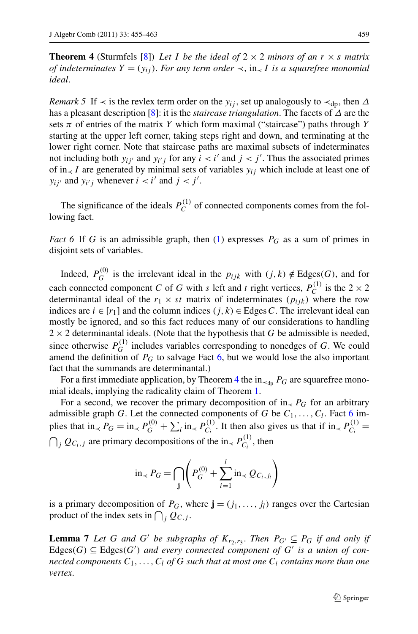<span id="page-4-3"></span><span id="page-4-1"></span>**Theorem 4** (Sturmfels [[8\]](#page-8-5)) Let *I* be the ideal of  $2 \times 2$  minors of an  $r \times s$  matrix *of indeterminates*  $Y = (y_{ij})$ . *For any term order*  $\prec$ , in $\prec$  *I is a squarefree monomial ideal*.

*Remark 5* If  $\prec$  is the revlex term order on the  $y_{ij}$ , set up analogously to  $\prec_{d_p}$ , then  $\Delta$ has a pleasant description [[8\]](#page-8-5): it is the *staircase triangulation*. The facets of *Δ* are the sets  $\pi$  of entries of the matrix *Y* which form maximal ("staircase") paths through *Y* starting at the upper left corner, taking steps right and down, and terminating at the lower right corner. Note that staircase paths are maximal subsets of indeterminates not including both  $y_{ij'}$  and  $y_{i'j}$  for any  $i < i'$  and  $j < j'$ . Thus the associated primes of in $\lt I$  are generated by minimal sets of variables  $y_{ij}$  which include at least one of  $y_{ij'}$  and  $y_{i'j}$  whenever  $i < i'$  and  $j < j'$ .

<span id="page-4-0"></span>The significance of the ideals  $P_C^{(1)}$  of connected components comes from the following fact.

*Fact* 6 If *G* is an admissible graph, then ([1\)](#page-2-1) expresses  $P_G$  as a sum of primes in disjoint sets of variables.

Indeed,  $P_G^{(0)}$  is the irrelevant ideal in the  $p_{ijk}$  with  $(j, k) \notin \text{Edges}(G)$ , and for each connected component *C* of *G* with *s* left and *t* right vertices,  $P_C^{(1)}$  is the 2  $\times$  2 determinantal ideal of the  $r_1 \times st$  matrix of indeterminates  $(p_{ijk})$  where the row indices are *i* ∈ [*r*1] and the column indices *(j,k)* ∈ Edges*C*. The irrelevant ideal can mostly be ignored, and so this fact reduces many of our considerations to handling  $2 \times 2$  determinantal ideals. (Note that the hypothesis that *G* be admissible is needed, since otherwise  $P_G^{(1)}$  includes variables corresponding to nonedges of *G*. We could amend the definition of *PG* to salvage Fact [6](#page-4-0), but we would lose the also important fact that the summands are determinantal.)

For a first immediate application, by Theorem [4](#page-4-1) the in<sub> $\prec_{dn} P_G$ </sub> are squarefree monomial ideals, implying the radicality claim of Theorem [1](#page-2-2).

For a second, we recover the primary decomposition of in<sub> $\lt P$ </sub> for an arbitrary admissible graph *G*. Let the connected components of *G* be  $C_1, \ldots, C_l$ . Fact [6](#page-4-0) implies that in<sub> $\lt P G$ </sub> = in<sub> $\lt P$ </sub> $P_G^{(0)}$  +  $\sum_i$  in<sub> $\lt P_{C_i}^{(1)}$ </sub>. It then also gives us that if in $\lt P_{C_i}^{(1)}$  =  $\bigcap_j Q_{C_i,j}$  are primary decompositions of the in<sub>≺</sub>  $P_{C_i}^{(1)}$ , then

$$
\text{in}_{\prec} P_G = \bigcap_{\mathbf{j}} \left( P_G^{(0)} + \sum_{i=1}^{l} \text{in}_{\prec} Q_{C_i, j_i} \right)
$$

<span id="page-4-2"></span>is a primary decomposition of  $P_G$ , where  $\mathbf{j} = (j_1, \ldots, j_l)$  ranges over the Cartesian product of the index sets in  $\bigcap_j Q_{C,j}$ .

**Lemma 7** *Let G and G' be subgraphs of*  $K_{r_2,r_3}$ . *Then*  $P_{G'} \subseteq P_G$  *if and only if* Edges( $G$ )  $\subseteq$  Edges( $G'$ ) and every connected component of  $G'$  is a union of con*nected components*  $C_1, \ldots, C_l$  *of*  $G$  *such that at most one*  $C_i$  *contains more than one vertex*.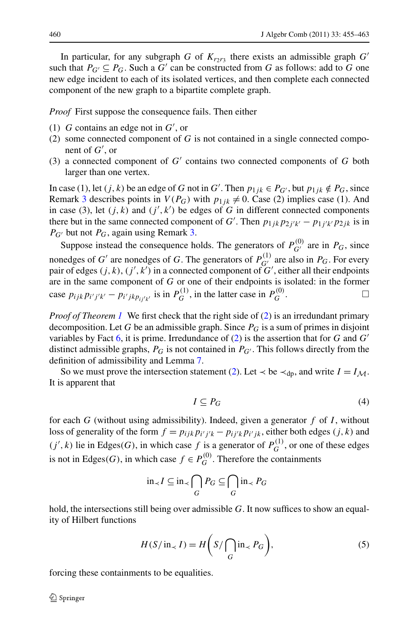In particular, for any subgraph *G* of  $K_{r\gamma r_3}$  there exists an admissible graph *G'* such that  $P_{G'} \subseteq P_G$ . Such a G' can be constructed from G as follows: add to G one new edge incident to each of its isolated vertices, and then complete each connected component of the new graph to a bipartite complete graph.

*Proof* First suppose the consequence fails. Then either

- (1) *G* contains an edge not in *G* , or
- (2) some connected component of *G* is not contained in a single connected component of *G* , or
- (3) a connected component of  $G'$  contains two connected components of  $G$  both larger than one vertex.

In case (1), let  $(j, k)$  be an edge of *G* not in *G*'. Then  $p_{1jk} \in P_{G'}$ , but  $p_{1jk} \notin P_G$ , since Remark [3](#page-2-3) describes points in  $V(P_G)$  with  $p_{1jk} \neq 0$ . Case (2) implies case (1). And in case (3), let  $(j, k)$  and  $(j', k')$  be edges of *G* in different connected components there but in the same connected component of *G*'. Then  $p_{1jk}p_{2j'k'} - p_{1j'k'}p_{2jk}$  is in  $P_{G'}$  but not  $P_G$ , again using Remark [3.](#page-2-3)

Suppose instead the consequence holds. The generators of  $P_{G'}^{(0)}$  are in  $P_G$ , since nonedges of *G'* are nonedges of *G*. The generators of  $P_{G}^{(1)}$  are also in  $P_G$ . For every pair of edges  $(j, k)$ ,  $(j', k')$  in a connected component of  $G'$ , either all their endpoints are in the same component of *G* or one of their endpoints is isolated: in the former case  $p_{ijk} p_{i'j'k'} - p_{i'jk} p_{ij'k'}$  is in  $P_G^{(1)}$ , in the latter case in  $P_G^{(0)}$ .

<span id="page-5-1"></span>*Proof of Theorem [1](#page-2-2)* We first check that the right side of ([2](#page-2-4)) is an irredundant primary decomposition. Let *G* be an admissible graph. Since  $P_G$  is a sum of primes in disjoint variables by Fact [6,](#page-4-0) it is prime. Irredundance of [\(2](#page-2-4)) is the assertion that for *G* and *G* distinct admissible graphs,  $P_G$  is not contained in  $P_{G'}$ . This follows directly from the definition of admissibility and Lemma [7](#page-4-2).

So we must prove the intersection statement ([2\)](#page-2-4). Let  $\prec$  be  $\prec_{dp}$ , and write  $I = I_M$ . It is apparent that

$$
I \subseteq P_G \tag{4}
$$

<span id="page-5-0"></span>for each *G* (without using admissibility). Indeed, given a generator *f* of *I* , without loss of generality of the form  $f = p_{ijk}p_{i'j'k} - p_{ij'k}p_{i'jk}$ , either both edges  $(j, k)$  and  $(j', k)$  lie in Edges $(G)$ , in which case  $f$  is a generator of  $P_G^{(1)}$ , or one of these edges is not in Edges(*G*), in which case  $f \in P_G^{(0)}$ . Therefore the containments

$$
\text{in}_{\prec} I \subseteq \text{in}_{\prec} \bigcap_{G} P_G \subseteq \bigcap_{G} \text{in}_{\prec} P_G
$$

hold, the intersections still being over admissible *G*. It now suffices to show an equality of Hilbert functions

$$
H(S/\operatorname{in}_{\prec} I) = H\left(S/\bigcap_{G} \operatorname{in}_{\prec} P_G\right),\tag{5}
$$

forcing these containments to be equalities.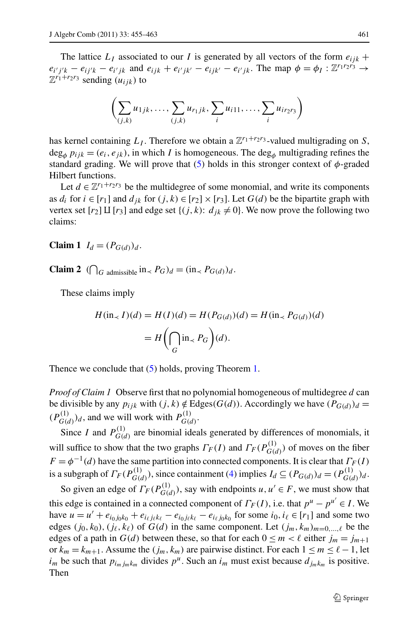The lattice  $L_I$  associated to our *I* is generated by all vectors of the form  $e_{ijk}$  +  $e_{i'j'k} - e_{ij'k} - e_{i'jk}$  and  $e_{ijk} + e_{i'jk'} - e_{ijk'} - e_{i'jk}$ . The map  $\phi = \phi_I : \mathbb{Z}^{r_1r_2r_3} \to$  $\mathbb{Z}^{r_1+r_2r_3}$  sending  $(u_{ijk})$  to

$$
\left(\sum_{(j,k)} u_{1jk}, \ldots, \sum_{(j,k)} u_{r_1jk}, \sum_i u_{i11}, \ldots, \sum_i u_{ir_2r_3}\right)
$$

has kernel containing  $L_I$ . Therefore we obtain a  $\mathbb{Z}^{r_1+r_2r_3}$ -valued multigrading on *S*,  $\deg_{\phi} p_{ijk} = (e_i, e_{jk})$ , in which *I* is homogeneous. The deg<sub> $\phi$ </sub> multigrading refines the standard grading. We will prove that  $(5)$  holds in this stronger context of  $\phi$ -graded Hilbert functions.

Let  $d \in \mathbb{Z}^{r_1+r_2r_3}$  be the multidegree of some monomial, and write its components as  $d_i$  for  $i \in [r_1]$  and  $d_{ik}$  for  $(j, k) \in [r_2] \times [r_3]$ . Let  $G(d)$  be the bipartite graph with vertex set  $[r_2] \amalg [r_3]$  and edge set  $\{(j,k): d_{jk} \neq 0\}$ . We now prove the following two claims:

**Claim 1**  $I_d = (P_{G(d)})_d$ .

**Claim 2**  $\left(\bigcap_{G \text{ admissible}} \text{in}_{\le} P_G\right)_d = \left(\text{in}_{\le} P_{G(d)}\right)_d$ .

These claims imply

$$
H(\text{in}_{\prec} I)(d) = H(I)(d) = H(P_{G(d)})(d) = H(\text{in}_{\prec} P_{G(d)})(d)
$$

$$
= H\left(\bigcap_{G} \text{in}_{\prec} P_G\right)(d).
$$

Thence we conclude that ([5\)](#page-5-0) holds, proving Theorem [1](#page-2-2).

*Proof of Claim 1* Observe first that no polynomial homogeneous of multidegree *d* can be divisible by any  $p_{ijk}$  with  $(j, k) \notin Edges(G(d))$ . Accordingly we have  $(P_{G(d)})_d$  =  $(P_{G(d)}^{(1)})_d$ , and we will work with  $P_{G(d)}^{(1)}$ .

Since *I* and  $P_{G(d)}^{(1)}$  are binomial ideals generated by differences of monomials, it will suffice to show that the two graphs  $\Gamma_F(I)$  and  $\Gamma_F(P_{G(d)}^{(1)})$  of moves on the fiber  $F = \phi^{-1}(d)$  have the same partition into connected components. It is clear that  $\Gamma_F(I)$ is a subgraph of  $\Gamma_F(P_{G(d)}^{(1)})$ , since containment ([4\)](#page-5-1) implies  $I_d \subseteq (P_{G(d)})_d = (P_{G(d)}^{(1)})_d$ .

So given an edge of  $\Gamma_F(P_{G(d)}^{(1)})$ , say with endpoints  $u, u' \in F$ , we must show that this edge is contained in a connected component of  $\Gamma_F(I)$ , i.e. that  $p^u - p^{u'} \in I$ . We have *u* = *u'* +  $e_{i_0 j_0 k_0} + e_{i_\ell j_\ell k_\ell} - e_{i_0 j_\ell k_\ell} - e_{i_\ell j_0 k_0}$  for some *i*<sub>0</sub>*, i*<sub>ℓ</sub> ∈ [*r*<sub>1</sub>] and some two edges  $(j_0, k_0)$ ,  $(j_\ell, k_\ell)$  of  $G(d)$  in the same component. Let  $(j_m, k_m)_{m=0,\dots,\ell}$  be the edges of a path in  $G(d)$  between these, so that for each  $0 \le m < \ell$  either  $j_m = j_{m+1}$ or  $k_m = k_{m+1}$ . Assume the  $(j_m, k_m)$  are pairwise distinct. For each  $1 \le m \le \ell - 1$ , let  $i_m$  be such that  $p_{i_m j_m k_m}$  divides  $p^u$ . Such an  $i_m$  must exist because  $d_{j_m k_m}$  is positive. Then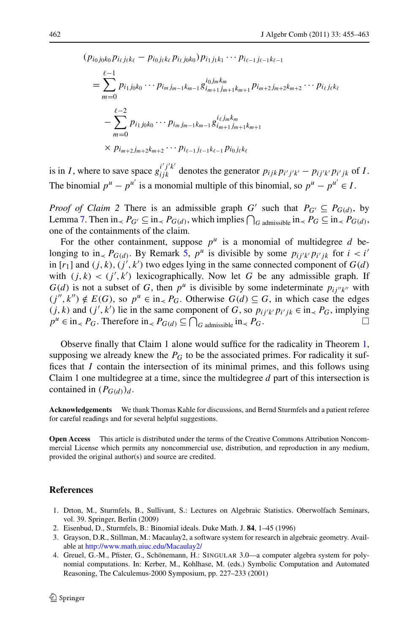$$
(p_{i_0 j_0 k_0} p_{i_\ell j_\ell k_\ell} - p_{i_0 j_\ell k_\ell} p_{i_\ell j_0 k_0}) p_{i_1 j_1 k_1} \cdots p_{i_{\ell-1} j_{\ell-1} k_{\ell-1}}
$$
\n
$$
= \sum_{m=0}^{\ell-1} p_{i_1 j_0 k_0} \cdots p_{i_m j_{m-1} k_{m-1}} g_{i_m+1 j_{m+1} k_{m+1}}^{i_0 j_m k_m} p_{i_{m+2} j_{m+2} k_{m+2}} \cdots p_{i_\ell j_\ell k_\ell}
$$
\n
$$
- \sum_{m=0}^{\ell-2} p_{i_1 j_0 k_0} \cdots p_{i_m j_{m-1} k_{m-1}} g_{i_{m+1} j_{m+1} k_{m+1}}^{i_\ell j_m k_m}
$$
\n
$$
\times p_{i_{m+2} j_{m+2} k_{m+2}} \cdots p_{i_{\ell-1} j_{\ell-1} k_{\ell-1}} p_{i_0 j_\ell k_\ell}
$$

is in *I*, where to save space  $g_{ijk}^{i'j'k'}$  denotes the generator  $p_{ijk}p_{i'j'k'} - p_{ij'k'}p_{i'jk}$  of *I*. The binomial  $p^u - p^{u'}$  is a monomial multiple of this binomial, so  $p^u - p^{u'} \in I$ .

*Proof of Claim 2* There is an admissible graph *G'* such that  $P_{G'} \subseteq P_{G(d)}$ , by Lemma [7](#page-4-2). Then  $in_1 P_G \subseteq in_0 P_G(d)$ , which implies  $\bigcap_{G \text{ admissible}} in_1 P_G \subseteq in_1 P_G(d)$ , one of the containments of the claim.

For the other containment, suppose  $p^u$  is a monomial of multidegree *d* belonging to in<sub> $\lt P$ </sub> *P<sub>G(d)</sub>*. By Remark [5,](#page-4-3)  $p^u$  is divisible by some  $p_{ij'k'}p_{i'jk}$  for  $i < i'$ in  $[r_1]$  and  $(j, k), (j', k')$  two edges lying in the same connected component of  $G(d)$ with  $(j, k) < (j', k')$  lexicographically. Now let G be any admissible graph. If  $G(d)$  is not a subset of G, then  $p^u$  is divisible by some indeterminate  $p_{ij}$  with  $(j'', k'') \notin E(G)$ , so  $p^u \in \text{in}_{\leq} P_G$ . Otherwise  $G(d) \subseteq G$ , in which case the edges *(j, k)* and *(j', k')* lie in the same component of *G*, so  $p_{ij'k'}p_{i'jk} ∈ in_ ∠P_G$ , implying  $p^u \in \text{in}_{\prec} P_G$ . Therefore  $\text{in}_{\prec} P_{G(d)} \subseteq \bigcap_{G \text{ admissible}} \text{in}_{\prec} P_G$ .

Observe finally that Claim 1 alone would suffice for the radicality in Theorem [1](#page-2-2), supposing we already knew the  $P_G$  to be the associated primes. For radicality it suffices that *I* contain the intersection of its minimal primes, and this follows using Claim 1 one multidegree at a time, since the multidegree *d* part of this intersection is contained in  $(P_{G(d)})_d$ .

<span id="page-7-0"></span>**Acknowledgements** We thank Thomas Kahle for discussions, and Bernd Sturmfels and a patient referee for careful readings and for several helpful suggestions.

<span id="page-7-3"></span><span id="page-7-2"></span>**Open Access** This article is distributed under the terms of the Creative Commons Attribution Noncommercial License which permits any noncommercial use, distribution, and reproduction in any medium, provided the original author(s) and source are credited.

## <span id="page-7-1"></span>**References**

- 1. Drton, M., Sturmfels, B., Sullivant, S.: Lectures on Algebraic Statistics. Oberwolfach Seminars, vol. 39. Springer, Berlin (2009)
- 2. Eisenbud, D., Sturmfels, B.: Binomial ideals. Duke Math. J. **84**, 1–45 (1996)
- 3. Grayson, D.R., Stillman, M.: Macaulay2, a software system for research in algebraic geometry. Available at <http://www.math.uiuc.edu/Macaulay2/>
- 4. Greuel, G.-M., Pfister, G., Schönemann, H.: SINGULAR 3.0—a computer algebra system for polynomial computations. In: Kerber, M., Kohlhase, M. (eds.) Symbolic Computation and Automated Reasoning, The Calculemus-2000 Symposium, pp. 227–233 (2001)